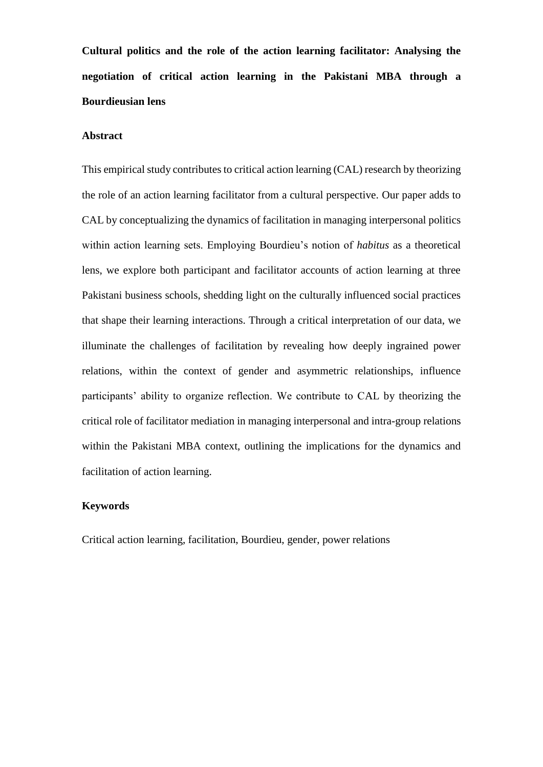**Cultural politics and the role of the action learning facilitator: Analysing the negotiation of critical action learning in the Pakistani MBA through a Bourdieusian lens**

# **Abstract**

This empirical study contributes to critical action learning (CAL) research by theorizing the role of an action learning facilitator from a cultural perspective. Our paper adds to CAL by conceptualizing the dynamics of facilitation in managing interpersonal politics within action learning sets. Employing Bourdieu's notion of *habitus* as a theoretical lens, we explore both participant and facilitator accounts of action learning at three Pakistani business schools, shedding light on the culturally influenced social practices that shape their learning interactions. Through a critical interpretation of our data, we illuminate the challenges of facilitation by revealing how deeply ingrained power relations, within the context of gender and asymmetric relationships, influence participants' ability to organize reflection. We contribute to CAL by theorizing the critical role of facilitator mediation in managing interpersonal and intra-group relations within the Pakistani MBA context, outlining the implications for the dynamics and facilitation of action learning.

# **Keywords**

Critical action learning, facilitation, Bourdieu, gender, power relations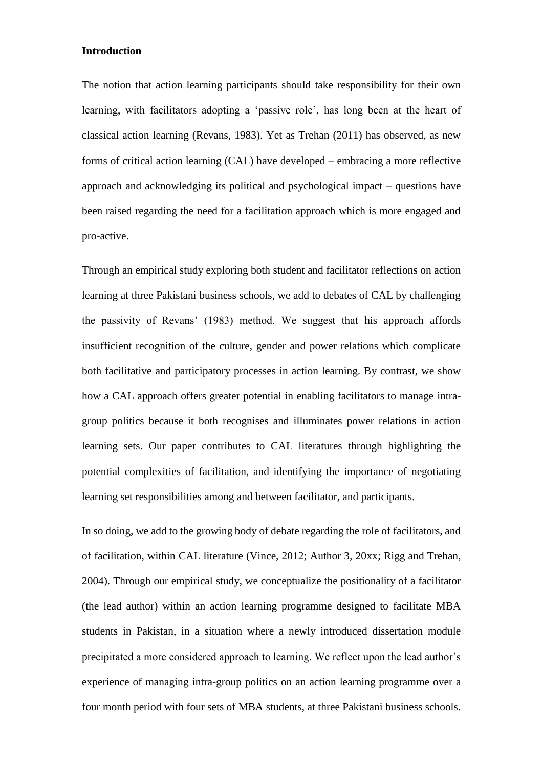#### **Introduction**

The notion that action learning participants should take responsibility for their own learning, with facilitators adopting a 'passive role', has long been at the heart of classical action learning (Revans, 1983). Yet as Trehan (2011) has observed, as new forms of critical action learning (CAL) have developed – embracing a more reflective approach and acknowledging its political and psychological impact – questions have been raised regarding the need for a facilitation approach which is more engaged and pro-active.

Through an empirical study exploring both student and facilitator reflections on action learning at three Pakistani business schools, we add to debates of CAL by challenging the passivity of Revans' (1983) method. We suggest that his approach affords insufficient recognition of the culture, gender and power relations which complicate both facilitative and participatory processes in action learning. By contrast, we show how a CAL approach offers greater potential in enabling facilitators to manage intragroup politics because it both recognises and illuminates power relations in action learning sets. Our paper contributes to CAL literatures through highlighting the potential complexities of facilitation, and identifying the importance of negotiating learning set responsibilities among and between facilitator, and participants.

In so doing, we add to the growing body of debate regarding the role of facilitators, and of facilitation, within CAL literature (Vince, 2012; Author 3, 20xx; Rigg and Trehan, 2004). Through our empirical study, we conceptualize the positionality of a facilitator (the lead author) within an action learning programme designed to facilitate MBA students in Pakistan, in a situation where a newly introduced dissertation module precipitated a more considered approach to learning. We reflect upon the lead author's experience of managing intra-group politics on an action learning programme over a four month period with four sets of MBA students, at three Pakistani business schools.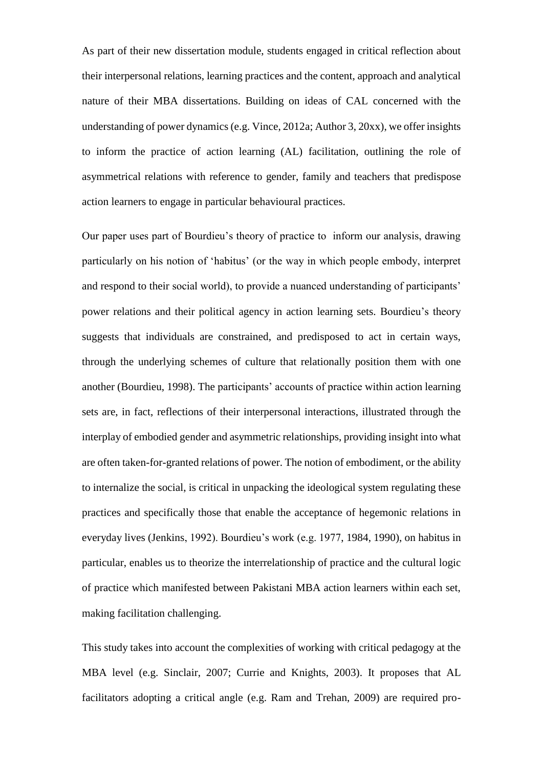As part of their new dissertation module, students engaged in critical reflection about their interpersonal relations, learning practices and the content, approach and analytical nature of their MBA dissertations. Building on ideas of CAL concerned with the understanding of power dynamics (e.g. Vince, 2012a; Author 3, 20xx), we offer insights to inform the practice of action learning (AL) facilitation, outlining the role of asymmetrical relations with reference to gender, family and teachers that predispose action learners to engage in particular behavioural practices.

Our paper uses part of Bourdieu's theory of practice to inform our analysis, drawing particularly on his notion of 'habitus' (or the way in which people embody, interpret and respond to their social world), to provide a nuanced understanding of participants' power relations and their political agency in action learning sets. Bourdieu's theory suggests that individuals are constrained, and predisposed to act in certain ways, through the underlying schemes of culture that relationally position them with one another (Bourdieu, 1998). The participants' accounts of practice within action learning sets are, in fact, reflections of their interpersonal interactions, illustrated through the interplay of embodied gender and asymmetric relationships, providing insight into what are often taken-for-granted relations of power. The notion of embodiment, or the ability to internalize the social, is critical in unpacking the ideological system regulating these practices and specifically those that enable the acceptance of hegemonic relations in everyday lives (Jenkins, 1992). Bourdieu's work (e.g. 1977, 1984, 1990), on habitus in particular, enables us to theorize the interrelationship of practice and the cultural logic of practice which manifested between Pakistani MBA action learners within each set, making facilitation challenging.

This study takes into account the complexities of working with critical pedagogy at the MBA level (e.g. Sinclair, 2007; Currie and Knights, 2003). It proposes that AL facilitators adopting a critical angle (e.g. Ram and Trehan, 2009) are required pro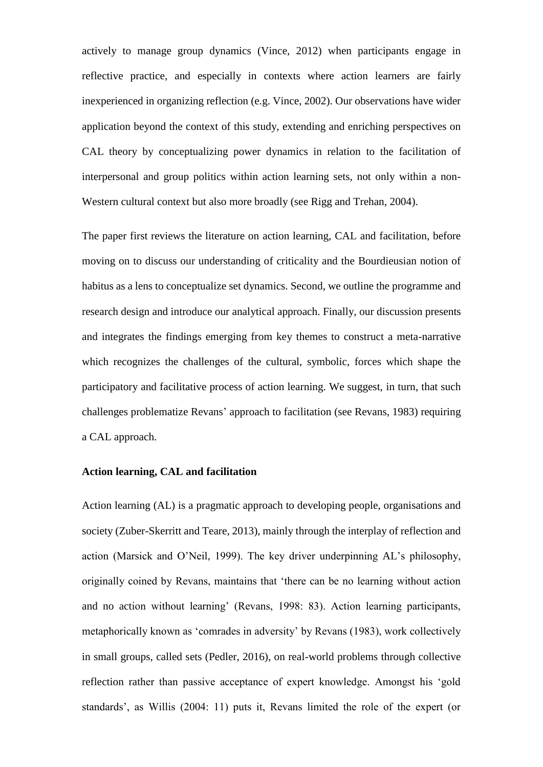actively to manage group dynamics (Vince, 2012) when participants engage in reflective practice, and especially in contexts where action learners are fairly inexperienced in organizing reflection (e.g. Vince, 2002). Our observations have wider application beyond the context of this study, extending and enriching perspectives on CAL theory by conceptualizing power dynamics in relation to the facilitation of interpersonal and group politics within action learning sets, not only within a non-Western cultural context but also more broadly (see Rigg and Trehan, 2004).

The paper first reviews the literature on action learning, CAL and facilitation, before moving on to discuss our understanding of criticality and the Bourdieusian notion of habitus as a lens to conceptualize set dynamics. Second, we outline the programme and research design and introduce our analytical approach. Finally, our discussion presents and integrates the findings emerging from key themes to construct a meta-narrative which recognizes the challenges of the cultural, symbolic, forces which shape the participatory and facilitative process of action learning. We suggest, in turn, that such challenges problematize Revans' approach to facilitation (see Revans, 1983) requiring a CAL approach.

## **Action learning, CAL and facilitation**

Action learning (AL) is a pragmatic approach to developing people, organisations and society (Zuber-Skerritt and Teare, 2013), mainly through the interplay of reflection and action (Marsick and O'Neil, 1999). The key driver underpinning AL's philosophy, originally coined by Revans, maintains that 'there can be no learning without action and no action without learning' (Revans, 1998: 83). Action learning participants, metaphorically known as 'comrades in adversity' by Revans (1983), work collectively in small groups, called sets (Pedler, 2016), on real-world problems through collective reflection rather than passive acceptance of expert knowledge. Amongst his 'gold standards', as Willis (2004: 11) puts it, Revans limited the role of the expert (or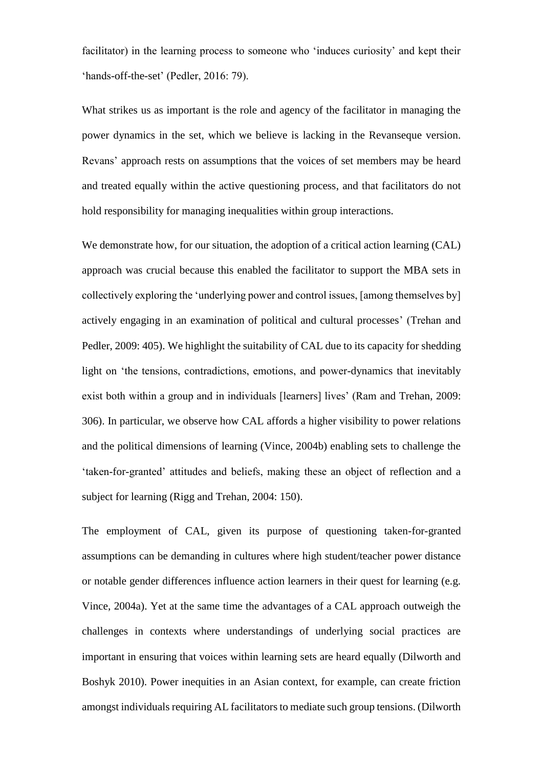facilitator) in the learning process to someone who 'induces curiosity' and kept their 'hands-off-the-set' (Pedler, 2016: 79).

What strikes us as important is the role and agency of the facilitator in managing the power dynamics in the set, which we believe is lacking in the Revanseque version. Revans' approach rests on assumptions that the voices of set members may be heard and treated equally within the active questioning process, and that facilitators do not hold responsibility for managing inequalities within group interactions.

We demonstrate how, for our situation, the adoption of a critical action learning (CAL) approach was crucial because this enabled the facilitator to support the MBA sets in collectively exploring the 'underlying power and control issues, [among themselves by] actively engaging in an examination of political and cultural processes' (Trehan and Pedler, 2009: 405). We highlight the suitability of CAL due to its capacity for shedding light on 'the tensions, contradictions, emotions, and power-dynamics that inevitably exist both within a group and in individuals [learners] lives' (Ram and Trehan, 2009: 306). In particular, we observe how CAL affords a higher visibility to power relations and the political dimensions of learning (Vince, 2004b) enabling sets to challenge the 'taken-for-granted' attitudes and beliefs, making these an object of reflection and a subject for learning (Rigg and Trehan, 2004: 150).

The employment of CAL, given its purpose of questioning taken-for-granted assumptions can be demanding in cultures where high student/teacher power distance or notable gender differences influence action learners in their quest for learning (e.g. Vince, 2004a). Yet at the same time the advantages of a CAL approach outweigh the challenges in contexts where understandings of underlying social practices are important in ensuring that voices within learning sets are heard equally (Dilworth and Boshyk 2010). Power inequities in an Asian context, for example, can create friction amongst individuals requiring AL facilitators to mediate such group tensions. (Dilworth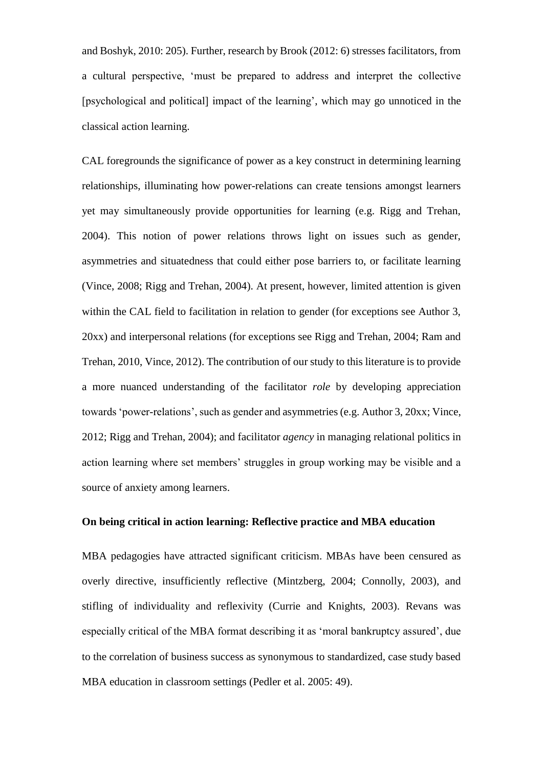and Boshyk, 2010: 205). Further, research by Brook (2012: 6) stresses facilitators, from a cultural perspective, 'must be prepared to address and interpret the collective [psychological and political] impact of the learning', which may go unnoticed in the classical action learning.

CAL foregrounds the significance of power as a key construct in determining learning relationships, illuminating how power-relations can create tensions amongst learners yet may simultaneously provide opportunities for learning (e.g. Rigg and Trehan, 2004). This notion of power relations throws light on issues such as gender, asymmetries and situatedness that could either pose barriers to, or facilitate learning (Vince, 2008; Rigg and Trehan, 2004). At present, however, limited attention is given within the CAL field to facilitation in relation to gender (for exceptions see Author 3, 20xx) and interpersonal relations (for exceptions see Rigg and Trehan, 2004; Ram and Trehan, 2010, Vince, 2012). The contribution of our study to this literature is to provide a more nuanced understanding of the facilitator *role* by developing appreciation towards 'power-relations', such as gender and asymmetries (e.g. Author 3, 20xx; Vince, 2012; Rigg and Trehan, 2004); and facilitator *agency* in managing relational politics in action learning where set members' struggles in group working may be visible and a source of anxiety among learners.

## **On being critical in action learning: Reflective practice and MBA education**

MBA pedagogies have attracted significant criticism. MBAs have been censured as overly directive, insufficiently reflective (Mintzberg, 2004; Connolly, 2003), and stifling of individuality and reflexivity (Currie and Knights, 2003). Revans was especially critical of the MBA format describing it as 'moral bankruptcy assured', due to the correlation of business success as synonymous to standardized, case study based MBA education in classroom settings (Pedler et al. 2005: 49).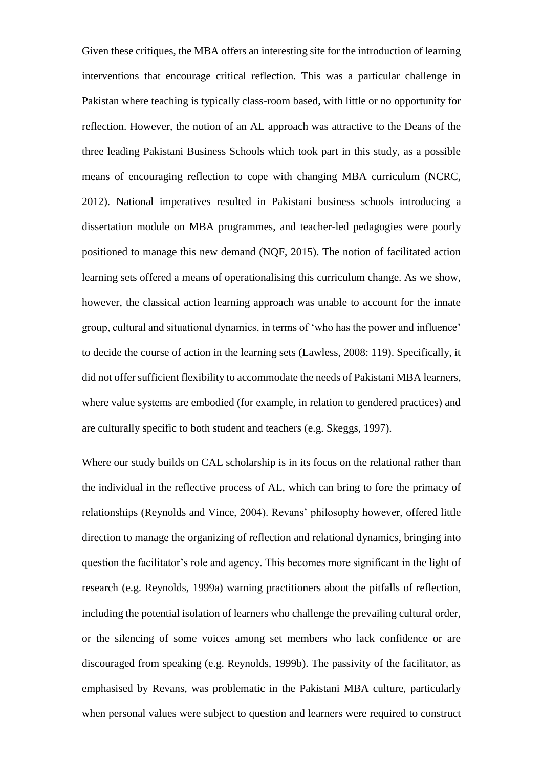Given these critiques, the MBA offers an interesting site for the introduction of learning interventions that encourage critical reflection. This was a particular challenge in Pakistan where teaching is typically class-room based, with little or no opportunity for reflection. However, the notion of an AL approach was attractive to the Deans of the three leading Pakistani Business Schools which took part in this study, as a possible means of encouraging reflection to cope with changing MBA curriculum (NCRC, 2012). National imperatives resulted in Pakistani business schools introducing a dissertation module on MBA programmes, and teacher-led pedagogies were poorly positioned to manage this new demand (NQF, 2015). The notion of facilitated action learning sets offered a means of operationalising this curriculum change. As we show, however, the classical action learning approach was unable to account for the innate group, cultural and situational dynamics, in terms of 'who has the power and influence' to decide the course of action in the learning sets (Lawless, 2008: 119). Specifically, it did not offer sufficient flexibility to accommodate the needs of Pakistani MBA learners, where value systems are embodied (for example, in relation to gendered practices) and are culturally specific to both student and teachers (e.g. Skeggs, 1997).

Where our study builds on CAL scholarship is in its focus on the relational rather than the individual in the reflective process of AL, which can bring to fore the primacy of relationships (Reynolds and Vince, 2004). Revans' philosophy however, offered little direction to manage the organizing of reflection and relational dynamics, bringing into question the facilitator's role and agency. This becomes more significant in the light of research (e.g. Reynolds, 1999a) warning practitioners about the pitfalls of reflection, including the potential isolation of learners who challenge the prevailing cultural order, or the silencing of some voices among set members who lack confidence or are discouraged from speaking (e.g. Reynolds, 1999b). The passivity of the facilitator, as emphasised by Revans, was problematic in the Pakistani MBA culture, particularly when personal values were subject to question and learners were required to construct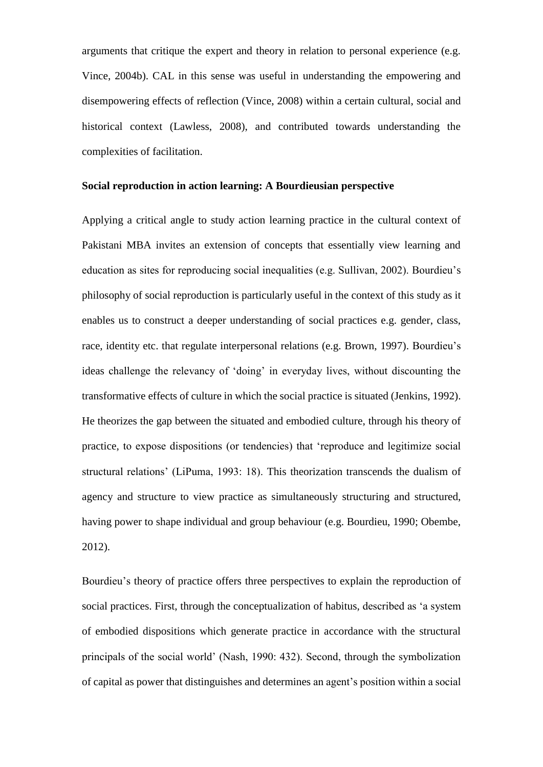arguments that critique the expert and theory in relation to personal experience (e.g. Vince, 2004b). CAL in this sense was useful in understanding the empowering and disempowering effects of reflection (Vince, 2008) within a certain cultural, social and historical context (Lawless, 2008), and contributed towards understanding the complexities of facilitation.

# **Social reproduction in action learning: A Bourdieusian perspective**

Applying a critical angle to study action learning practice in the cultural context of Pakistani MBA invites an extension of concepts that essentially view learning and education as sites for reproducing social inequalities (e.g. Sullivan, 2002). Bourdieu's philosophy of social reproduction is particularly useful in the context of this study as it enables us to construct a deeper understanding of social practices e.g. gender, class, race, identity etc. that regulate interpersonal relations (e.g. Brown, 1997). Bourdieu's ideas challenge the relevancy of 'doing' in everyday lives, without discounting the transformative effects of culture in which the social practice is situated (Jenkins, 1992). He theorizes the gap between the situated and embodied culture, through his theory of practice, to expose dispositions (or tendencies) that 'reproduce and legitimize social structural relations' (LiPuma, 1993: 18). This theorization transcends the dualism of agency and structure to view practice as simultaneously structuring and structured, having power to shape individual and group behaviour (e.g. Bourdieu, 1990; Obembe, 2012).

Bourdieu's theory of practice offers three perspectives to explain the reproduction of social practices. First, through the conceptualization of habitus, described as 'a system of embodied dispositions which generate practice in accordance with the structural principals of the social world' (Nash, 1990: 432). Second, through the symbolization of capital as power that distinguishes and determines an agent's position within a social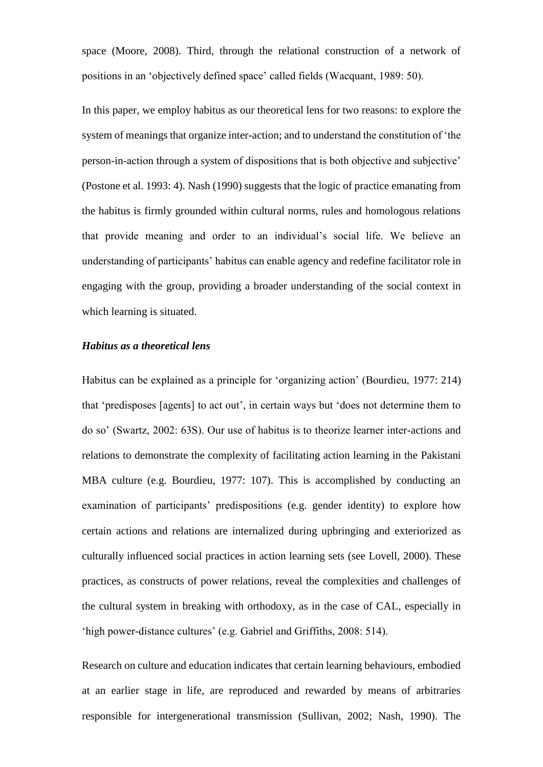space (Moore, 2008). Third, through the relational construction of a network of positions in an 'objectively defined space' called fields (Wacquant, 1989: 50).

In this paper, we employ habitus as our theoretical lens for two reasons: to explore the system of meanings that organize inter-action; and to understand the constitution of 'the person-in-action through a system of dispositions that is both objective and subjective' (Postone et al. 1993: 4). Nash (1990) suggests that the logic of practice emanating from the habitus is firmly grounded within cultural norms, rules and homologous relations that provide meaning and order to an individual's social life. We believe an understanding of participants' habitus can enable agency and redefine facilitator role in engaging with the group, providing a broader understanding of the social context in which learning is situated.

#### *Habitus as a theoretical lens*

Habitus can be explained as a principle for 'organizing action' (Bourdieu, 1977: 214) that 'predisposes [agents] to act out', in certain ways but 'does not determine them to do so' (Swartz, 2002: 63S). Our use of habitus is to theorize learner inter-actions and relations to demonstrate the complexity of facilitating action learning in the Pakistani MBA culture (e.g. Bourdieu, 1977: 107). This is accomplished by conducting an examination of participants' predispositions (e.g. gender identity) to explore how certain actions and relations are internalized during upbringing and exteriorized as culturally influenced social practices in action learning sets (see Lovell, 2000). These practices, as constructs of power relations, reveal the complexities and challenges of the cultural system in breaking with orthodoxy, as in the case of CAL, especially in 'high power-distance cultures' (e.g. Gabriel and Griffiths, 2008: 514).

Research on culture and education indicates that certain learning behaviours, embodied at an earlier stage in life, are reproduced and rewarded by means of arbitraries responsible for intergenerational transmission (Sullivan, 2002; Nash, 1990). The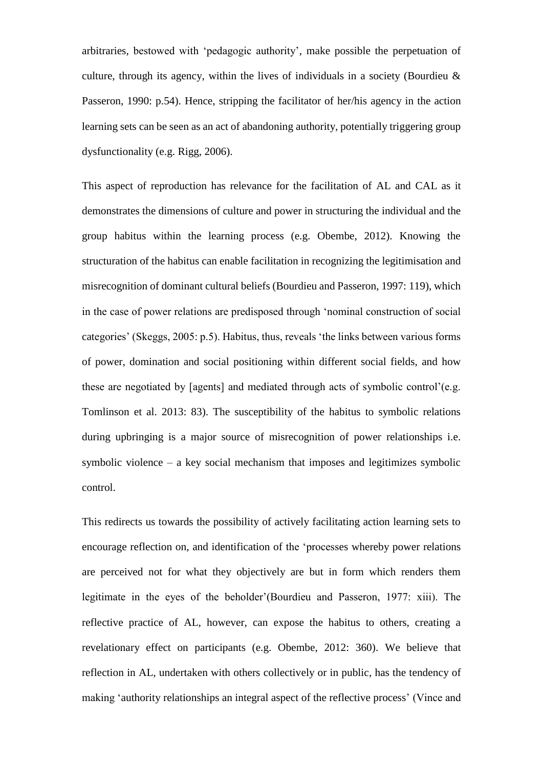arbitraries, bestowed with 'pedagogic authority', make possible the perpetuation of culture, through its agency, within the lives of individuals in a society (Bourdieu & Passeron, 1990: p.54). Hence, stripping the facilitator of her/his agency in the action learning sets can be seen as an act of abandoning authority, potentially triggering group dysfunctionality (e.g. Rigg, 2006).

This aspect of reproduction has relevance for the facilitation of AL and CAL as it demonstrates the dimensions of culture and power in structuring the individual and the group habitus within the learning process (e.g. Obembe, 2012). Knowing the structuration of the habitus can enable facilitation in recognizing the legitimisation and misrecognition of dominant cultural beliefs (Bourdieu and Passeron, 1997: 119), which in the case of power relations are predisposed through 'nominal construction of social categories' (Skeggs, 2005: p.5). Habitus, thus, reveals 'the links between various forms of power, domination and social positioning within different social fields, and how these are negotiated by [agents] and mediated through acts of symbolic control'(e.g. Tomlinson et al. 2013: 83). The susceptibility of the habitus to symbolic relations during upbringing is a major source of misrecognition of power relationships i.e. symbolic violence – a key social mechanism that imposes and legitimizes symbolic control.

This redirects us towards the possibility of actively facilitating action learning sets to encourage reflection on, and identification of the 'processes whereby power relations are perceived not for what they objectively are but in form which renders them legitimate in the eyes of the beholder'(Bourdieu and Passeron, 1977: xiii). The reflective practice of AL, however, can expose the habitus to others, creating a revelationary effect on participants (e.g. Obembe, 2012: 360). We believe that reflection in AL, undertaken with others collectively or in public, has the tendency of making 'authority relationships an integral aspect of the reflective process' (Vince and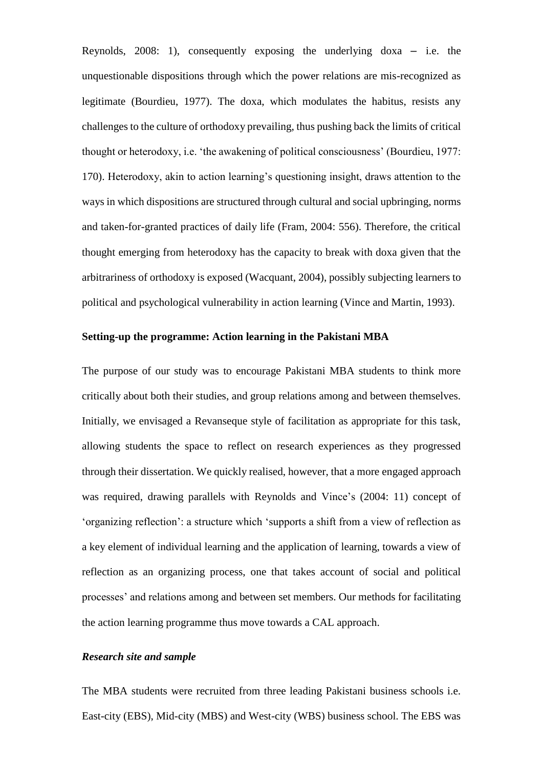Reynolds, 2008: 1), consequently exposing the underlying doxa – i.e. the unquestionable dispositions through which the power relations are mis-recognized as legitimate (Bourdieu, 1977). The doxa, which modulates the habitus, resists any challenges to the culture of orthodoxy prevailing, thus pushing back the limits of critical thought or heterodoxy, i.e. 'the awakening of political consciousness' (Bourdieu, 1977: 170). Heterodoxy, akin to action learning's questioning insight, draws attention to the ways in which dispositions are structured through cultural and social upbringing, norms and taken-for-granted practices of daily life (Fram, 2004: 556). Therefore, the critical thought emerging from heterodoxy has the capacity to break with doxa given that the arbitrariness of orthodoxy is exposed (Wacquant, 2004), possibly subjecting learners to political and psychological vulnerability in action learning (Vince and Martin, 1993).

# **Setting-up the programme: Action learning in the Pakistani MBA**

The purpose of our study was to encourage Pakistani MBA students to think more critically about both their studies, and group relations among and between themselves. Initially, we envisaged a Revanseque style of facilitation as appropriate for this task, allowing students the space to reflect on research experiences as they progressed through their dissertation. We quickly realised, however, that a more engaged approach was required, drawing parallels with Reynolds and Vince's (2004: 11) concept of 'organizing reflection': a structure which 'supports a shift from a view of reflection as a key element of individual learning and the application of learning, towards a view of reflection as an organizing process, one that takes account of social and political processes' and relations among and between set members. Our methods for facilitating the action learning programme thus move towards a CAL approach.

## *Research site and sample*

The MBA students were recruited from three leading Pakistani business schools i.e. East-city (EBS), Mid-city (MBS) and West-city (WBS) business school. The EBS was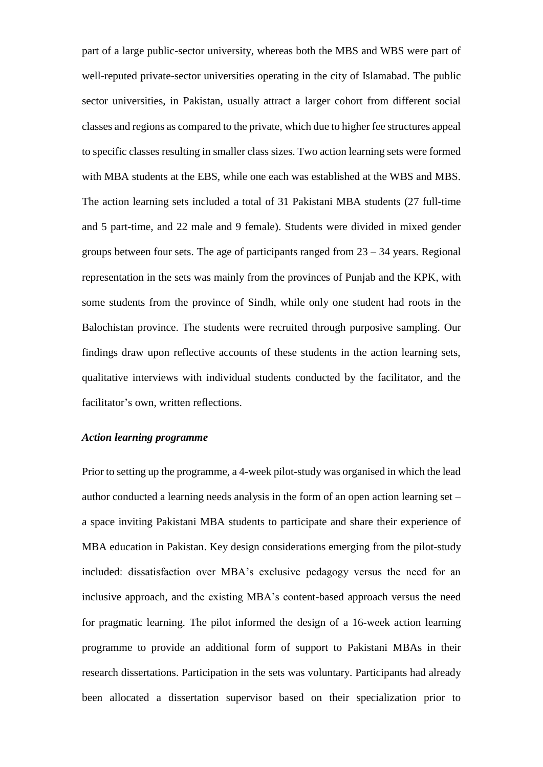part of a large public-sector university, whereas both the MBS and WBS were part of well-reputed private-sector universities operating in the city of Islamabad. The public sector universities, in Pakistan, usually attract a larger cohort from different social classes and regions as compared to the private, which due to higher fee structures appeal to specific classes resulting in smaller class sizes. Two action learning sets were formed with MBA students at the EBS, while one each was established at the WBS and MBS. The action learning sets included a total of 31 Pakistani MBA students (27 full-time and 5 part-time, and 22 male and 9 female). Students were divided in mixed gender groups between four sets. The age of participants ranged from  $23 - 34$  years. Regional representation in the sets was mainly from the provinces of Punjab and the KPK, with some students from the province of Sindh, while only one student had roots in the Balochistan province. The students were recruited through purposive sampling. Our findings draw upon reflective accounts of these students in the action learning sets, qualitative interviews with individual students conducted by the facilitator, and the facilitator's own, written reflections.

# *Action learning programme*

Prior to setting up the programme, a 4-week pilot-study was organised in which the lead author conducted a learning needs analysis in the form of an open action learning set – a space inviting Pakistani MBA students to participate and share their experience of MBA education in Pakistan. Key design considerations emerging from the pilot-study included: dissatisfaction over MBA's exclusive pedagogy versus the need for an inclusive approach, and the existing MBA's content-based approach versus the need for pragmatic learning. The pilot informed the design of a 16-week action learning programme to provide an additional form of support to Pakistani MBAs in their research dissertations. Participation in the sets was voluntary. Participants had already been allocated a dissertation supervisor based on their specialization prior to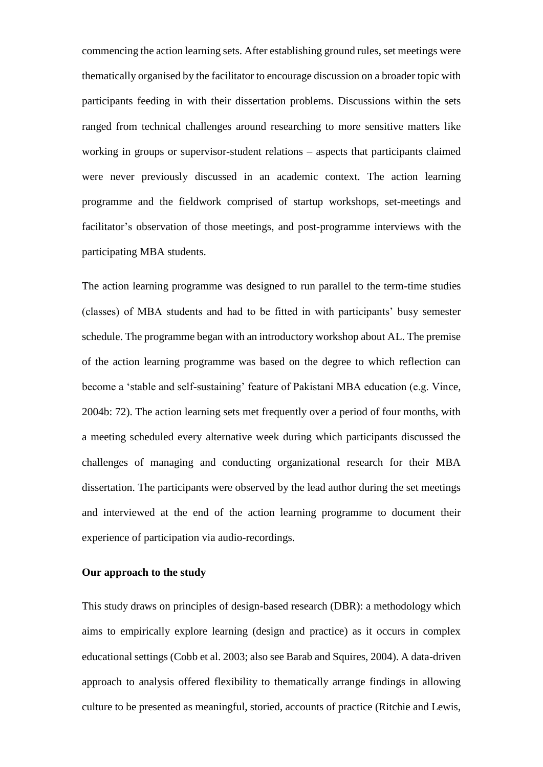commencing the action learning sets. After establishing ground rules, set meetings were thematically organised by the facilitator to encourage discussion on a broader topic with participants feeding in with their dissertation problems. Discussions within the sets ranged from technical challenges around researching to more sensitive matters like working in groups or supervisor-student relations – aspects that participants claimed were never previously discussed in an academic context. The action learning programme and the fieldwork comprised of startup workshops, set-meetings and facilitator's observation of those meetings, and post-programme interviews with the participating MBA students.

The action learning programme was designed to run parallel to the term-time studies (classes) of MBA students and had to be fitted in with participants' busy semester schedule. The programme began with an introductory workshop about AL. The premise of the action learning programme was based on the degree to which reflection can become a 'stable and self-sustaining' feature of Pakistani MBA education (e.g. Vince, 2004b: 72). The action learning sets met frequently over a period of four months, with a meeting scheduled every alternative week during which participants discussed the challenges of managing and conducting organizational research for their MBA dissertation. The participants were observed by the lead author during the set meetings and interviewed at the end of the action learning programme to document their experience of participation via audio-recordings.

# **Our approach to the study**

This study draws on principles of design-based research (DBR): a methodology which aims to empirically explore learning (design and practice) as it occurs in complex educational settings (Cobb et al. 2003; also see Barab and Squires, 2004). A data-driven approach to analysis offered flexibility to thematically arrange findings in allowing culture to be presented as meaningful, storied, accounts of practice (Ritchie and Lewis,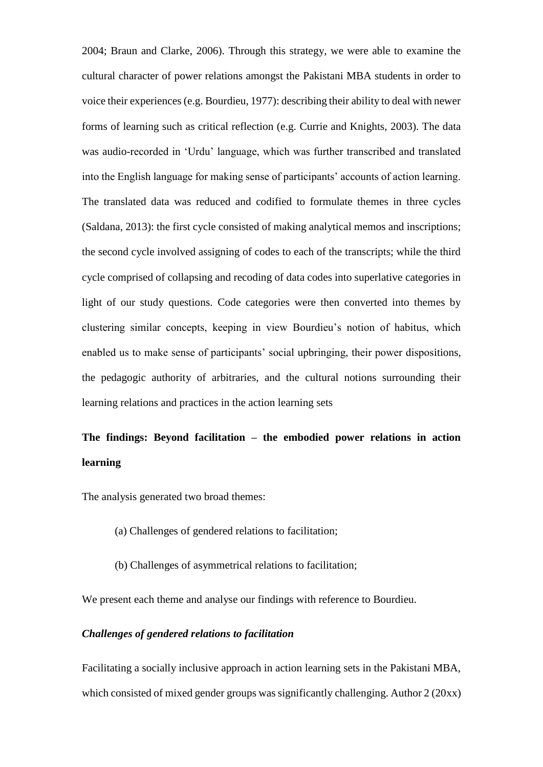2004; Braun and Clarke, 2006). Through this strategy, we were able to examine the cultural character of power relations amongst the Pakistani MBA students in order to voice their experiences (e.g. Bourdieu, 1977): describing their ability to deal with newer forms of learning such as critical reflection (e.g. Currie and Knights, 2003). The data was audio-recorded in 'Urdu' language, which was further transcribed and translated into the English language for making sense of participants' accounts of action learning. The translated data was reduced and codified to formulate themes in three cycles (Saldana, 2013): the first cycle consisted of making analytical memos and inscriptions; the second cycle involved assigning of codes to each of the transcripts; while the third cycle comprised of collapsing and recoding of data codes into superlative categories in light of our study questions. Code categories were then converted into themes by clustering similar concepts, keeping in view Bourdieu's notion of habitus, which enabled us to make sense of participants' social upbringing, their power dispositions, the pedagogic authority of arbitraries, and the cultural notions surrounding their learning relations and practices in the action learning sets

# **The findings: Beyond facilitation – the embodied power relations in action learning**

The analysis generated two broad themes:

- (a) Challenges of gendered relations to facilitation;
- (b) Challenges of asymmetrical relations to facilitation;

We present each theme and analyse our findings with reference to Bourdieu.

# *Challenges of gendered relations to facilitation*

Facilitating a socially inclusive approach in action learning sets in the Pakistani MBA, which consisted of mixed gender groups was significantly challenging. Author 2 (20xx)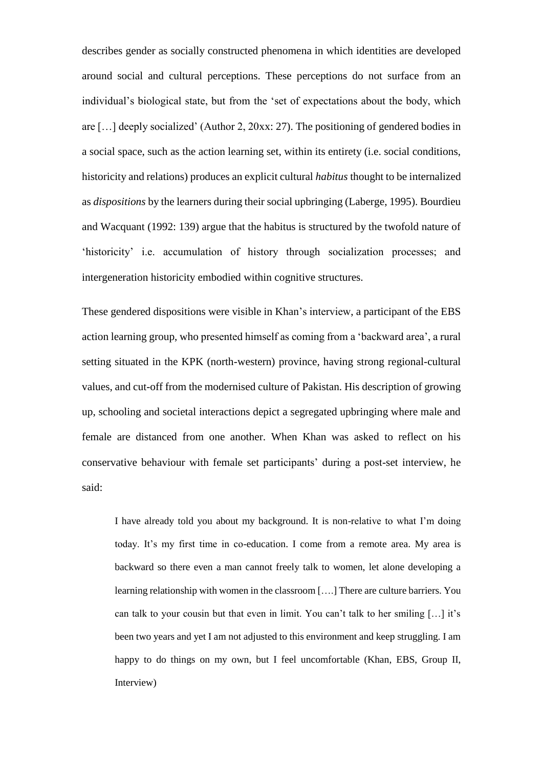describes gender as socially constructed phenomena in which identities are developed around social and cultural perceptions. These perceptions do not surface from an individual's biological state, but from the 'set of expectations about the body, which are […] deeply socialized' (Author 2, 20xx: 27). The positioning of gendered bodies in a social space, such as the action learning set, within its entirety (i.e. social conditions, historicity and relations) produces an explicit cultural *habitus* thought to be internalized as *dispositions* by the learners during their social upbringing (Laberge, 1995). Bourdieu and Wacquant (1992: 139) argue that the habitus is structured by the twofold nature of 'historicity' i.e. accumulation of history through socialization processes; and intergeneration historicity embodied within cognitive structures.

These gendered dispositions were visible in Khan's interview, a participant of the EBS action learning group, who presented himself as coming from a 'backward area', a rural setting situated in the KPK (north-western) province, having strong regional-cultural values, and cut-off from the modernised culture of Pakistan. His description of growing up, schooling and societal interactions depict a segregated upbringing where male and female are distanced from one another. When Khan was asked to reflect on his conservative behaviour with female set participants' during a post-set interview, he said:

I have already told you about my background. It is non-relative to what I'm doing today. It's my first time in co-education. I come from a remote area. My area is backward so there even a man cannot freely talk to women, let alone developing a learning relationship with women in the classroom [….] There are culture barriers. You can talk to your cousin but that even in limit. You can't talk to her smiling […] it's been two years and yet I am not adjusted to this environment and keep struggling. I am happy to do things on my own, but I feel uncomfortable (Khan, EBS, Group II, Interview)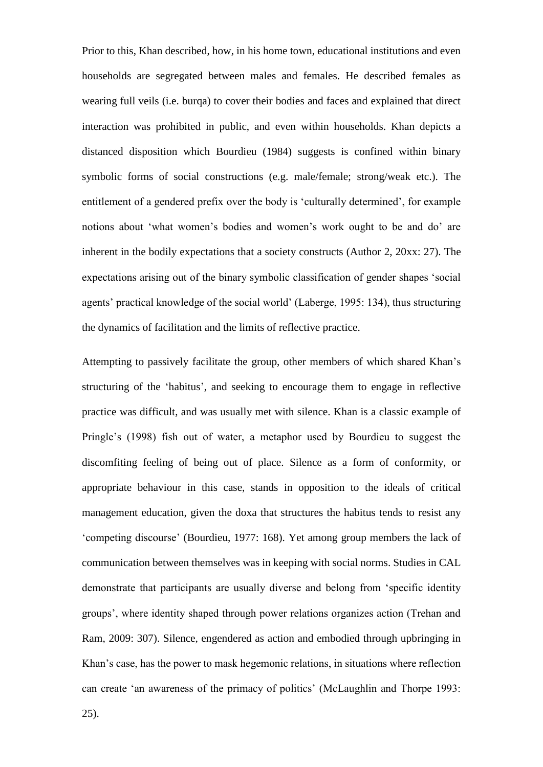Prior to this, Khan described, how, in his home town, educational institutions and even households are segregated between males and females. He described females as wearing full veils (i.e. burqa) to cover their bodies and faces and explained that direct interaction was prohibited in public, and even within households. Khan depicts a distanced disposition which Bourdieu (1984) suggests is confined within binary symbolic forms of social constructions (e.g. male/female; strong/weak etc.). The entitlement of a gendered prefix over the body is 'culturally determined', for example notions about 'what women's bodies and women's work ought to be and do' are inherent in the bodily expectations that a society constructs (Author 2, 20xx: 27). The expectations arising out of the binary symbolic classification of gender shapes 'social agents' practical knowledge of the social world' (Laberge, 1995: 134), thus structuring the dynamics of facilitation and the limits of reflective practice.

Attempting to passively facilitate the group, other members of which shared Khan's structuring of the 'habitus', and seeking to encourage them to engage in reflective practice was difficult, and was usually met with silence. Khan is a classic example of Pringle's (1998) fish out of water, a metaphor used by Bourdieu to suggest the discomfiting feeling of being out of place. Silence as a form of conformity, or appropriate behaviour in this case, stands in opposition to the ideals of critical management education, given the doxa that structures the habitus tends to resist any 'competing discourse' (Bourdieu, 1977: 168). Yet among group members the lack of communication between themselves was in keeping with social norms. Studies in CAL demonstrate that participants are usually diverse and belong from 'specific identity groups', where identity shaped through power relations organizes action (Trehan and Ram, 2009: 307). Silence, engendered as action and embodied through upbringing in Khan's case, has the power to mask hegemonic relations, in situations where reflection can create 'an awareness of the primacy of politics' (McLaughlin and Thorpe 1993: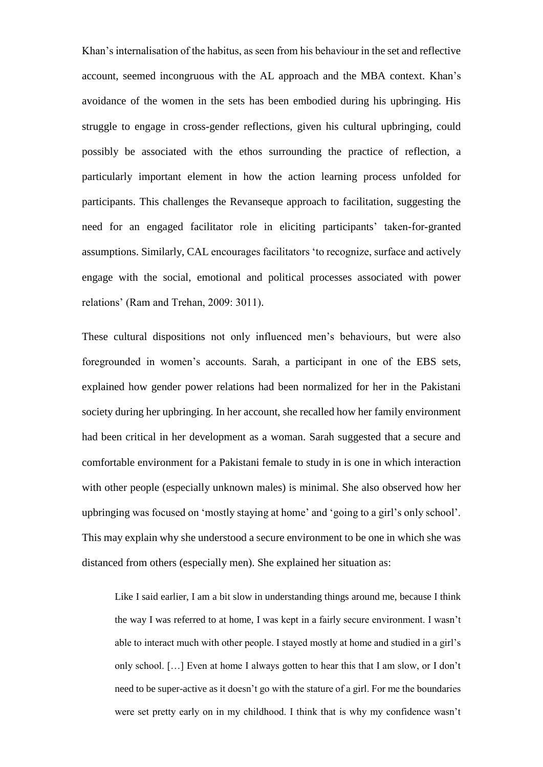Khan's internalisation of the habitus, as seen from his behaviour in the set and reflective account, seemed incongruous with the AL approach and the MBA context. Khan's avoidance of the women in the sets has been embodied during his upbringing. His struggle to engage in cross-gender reflections, given his cultural upbringing, could possibly be associated with the ethos surrounding the practice of reflection, a particularly important element in how the action learning process unfolded for participants. This challenges the Revanseque approach to facilitation, suggesting the need for an engaged facilitator role in eliciting participants' taken-for-granted assumptions. Similarly, CAL encourages facilitators 'to recognize, surface and actively engage with the social, emotional and political processes associated with power relations' (Ram and Trehan, 2009: 3011).

These cultural dispositions not only influenced men's behaviours, but were also foregrounded in women's accounts. Sarah, a participant in one of the EBS sets, explained how gender power relations had been normalized for her in the Pakistani society during her upbringing. In her account, she recalled how her family environment had been critical in her development as a woman. Sarah suggested that a secure and comfortable environment for a Pakistani female to study in is one in which interaction with other people (especially unknown males) is minimal. She also observed how her upbringing was focused on 'mostly staying at home' and 'going to a girl's only school'. This may explain why she understood a secure environment to be one in which she was distanced from others (especially men). She explained her situation as:

Like I said earlier, I am a bit slow in understanding things around me, because I think the way I was referred to at home, I was kept in a fairly secure environment. I wasn't able to interact much with other people. I stayed mostly at home and studied in a girl's only school. […] Even at home I always gotten to hear this that I am slow, or I don't need to be super-active as it doesn't go with the stature of a girl. For me the boundaries were set pretty early on in my childhood. I think that is why my confidence wasn't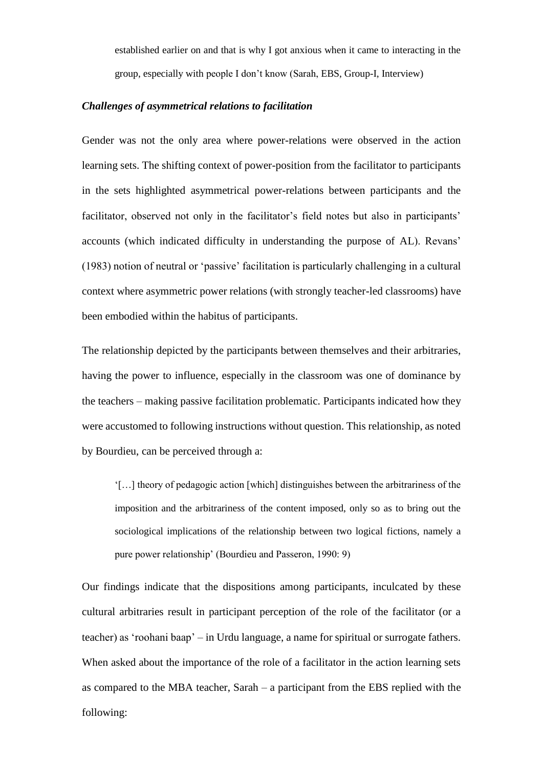established earlier on and that is why I got anxious when it came to interacting in the group, especially with people I don't know (Sarah, EBS, Group-I, Interview)

# *Challenges of asymmetrical relations to facilitation*

Gender was not the only area where power-relations were observed in the action learning sets. The shifting context of power-position from the facilitator to participants in the sets highlighted asymmetrical power-relations between participants and the facilitator, observed not only in the facilitator's field notes but also in participants' accounts (which indicated difficulty in understanding the purpose of AL). Revans' (1983) notion of neutral or 'passive' facilitation is particularly challenging in a cultural context where asymmetric power relations (with strongly teacher-led classrooms) have been embodied within the habitus of participants.

The relationship depicted by the participants between themselves and their arbitraries, having the power to influence, especially in the classroom was one of dominance by the teachers – making passive facilitation problematic. Participants indicated how they were accustomed to following instructions without question. This relationship, as noted by Bourdieu, can be perceived through a:

'[…] theory of pedagogic action [which] distinguishes between the arbitrariness of the imposition and the arbitrariness of the content imposed, only so as to bring out the sociological implications of the relationship between two logical fictions, namely a pure power relationship' (Bourdieu and Passeron, 1990: 9)

Our findings indicate that the dispositions among participants, inculcated by these cultural arbitraries result in participant perception of the role of the facilitator (or a teacher) as 'roohani baap' – in Urdu language, a name for spiritual or surrogate fathers. When asked about the importance of the role of a facilitator in the action learning sets as compared to the MBA teacher, Sarah – a participant from the EBS replied with the following: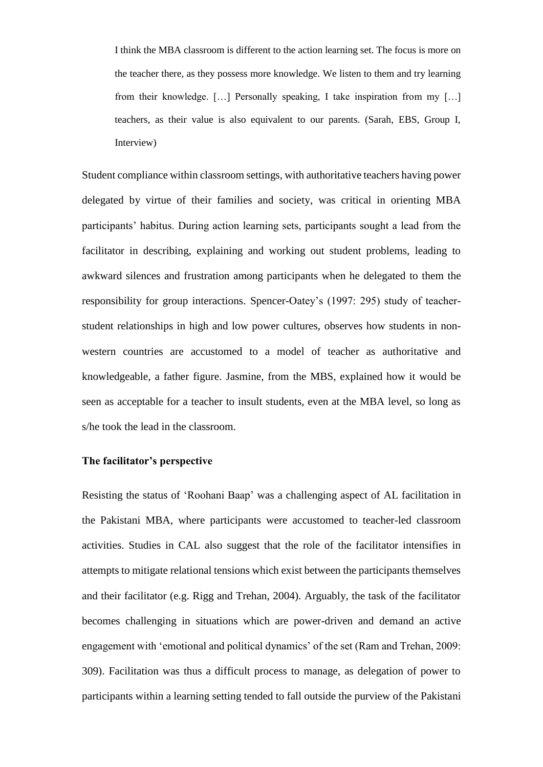I think the MBA classroom is different to the action learning set. The focus is more on the teacher there, as they possess more knowledge. We listen to them and try learning from their knowledge. […] Personally speaking, I take inspiration from my […] teachers, as their value is also equivalent to our parents. (Sarah, EBS, Group I, Interview)

Student compliance within classroom settings, with authoritative teachers having power delegated by virtue of their families and society, was critical in orienting MBA participants' habitus. During action learning sets, participants sought a lead from the facilitator in describing, explaining and working out student problems, leading to awkward silences and frustration among participants when he delegated to them the responsibility for group interactions. Spencer-Oatey's (1997: 295) study of teacherstudent relationships in high and low power cultures, observes how students in nonwestern countries are accustomed to a model of teacher as authoritative and knowledgeable, a father figure. Jasmine, from the MBS, explained how it would be seen as acceptable for a teacher to insult students, even at the MBA level, so long as s/he took the lead in the classroom.

# **The facilitator's perspective**

Resisting the status of 'Roohani Baap' was a challenging aspect of AL facilitation in the Pakistani MBA, where participants were accustomed to teacher-led classroom activities. Studies in CAL also suggest that the role of the facilitator intensifies in attempts to mitigate relational tensions which exist between the participants themselves and their facilitator (e.g. Rigg and Trehan, 2004). Arguably, the task of the facilitator becomes challenging in situations which are power-driven and demand an active engagement with 'emotional and political dynamics' of the set (Ram and Trehan, 2009: 309). Facilitation was thus a difficult process to manage, as delegation of power to participants within a learning setting tended to fall outside the purview of the Pakistani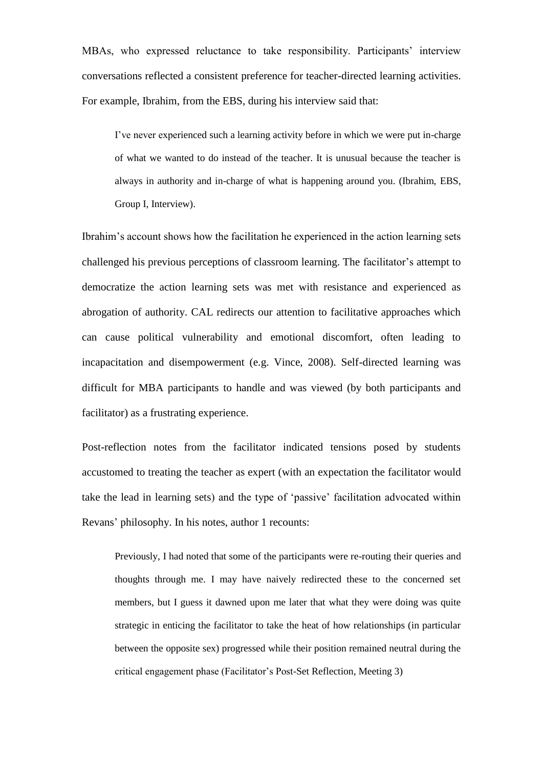MBAs, who expressed reluctance to take responsibility. Participants' interview conversations reflected a consistent preference for teacher-directed learning activities. For example, Ibrahim, from the EBS, during his interview said that:

I've never experienced such a learning activity before in which we were put in-charge of what we wanted to do instead of the teacher. It is unusual because the teacher is always in authority and in-charge of what is happening around you. (Ibrahim, EBS, Group I, Interview).

Ibrahim's account shows how the facilitation he experienced in the action learning sets challenged his previous perceptions of classroom learning. The facilitator's attempt to democratize the action learning sets was met with resistance and experienced as abrogation of authority. CAL redirects our attention to facilitative approaches which can cause political vulnerability and emotional discomfort, often leading to incapacitation and disempowerment (e.g. Vince, 2008). Self-directed learning was difficult for MBA participants to handle and was viewed (by both participants and facilitator) as a frustrating experience.

Post-reflection notes from the facilitator indicated tensions posed by students accustomed to treating the teacher as expert (with an expectation the facilitator would take the lead in learning sets) and the type of 'passive' facilitation advocated within Revans' philosophy. In his notes, author 1 recounts:

Previously, I had noted that some of the participants were re-routing their queries and thoughts through me. I may have naively redirected these to the concerned set members, but I guess it dawned upon me later that what they were doing was quite strategic in enticing the facilitator to take the heat of how relationships (in particular between the opposite sex) progressed while their position remained neutral during the critical engagement phase (Facilitator's Post-Set Reflection, Meeting 3)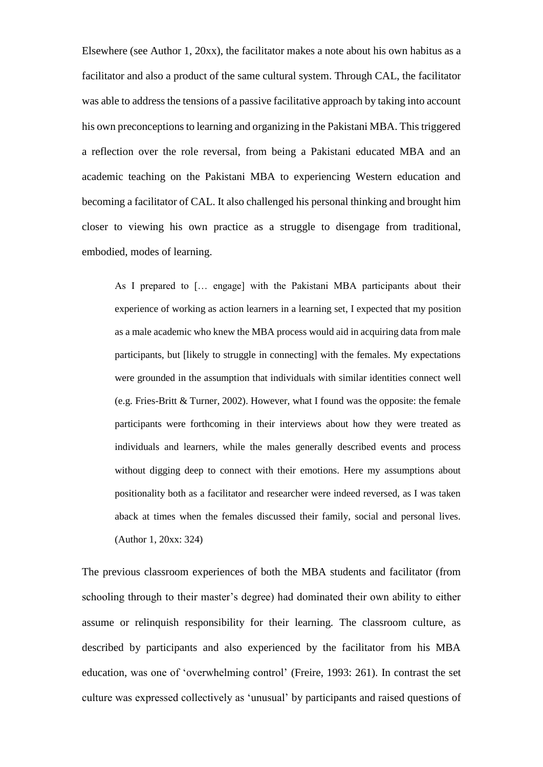Elsewhere (see Author 1, 20xx), the facilitator makes a note about his own habitus as a facilitator and also a product of the same cultural system. Through CAL, the facilitator was able to address the tensions of a passive facilitative approach by taking into account his own preconceptions to learning and organizing in the Pakistani MBA. This triggered a reflection over the role reversal, from being a Pakistani educated MBA and an academic teaching on the Pakistani MBA to experiencing Western education and becoming a facilitator of CAL. It also challenged his personal thinking and brought him closer to viewing his own practice as a struggle to disengage from traditional, embodied, modes of learning.

As I prepared to [… engage] with the Pakistani MBA participants about their experience of working as action learners in a learning set, I expected that my position as a male academic who knew the MBA process would aid in acquiring data from male participants, but [likely to struggle in connecting] with the females. My expectations were grounded in the assumption that individuals with similar identities connect well (e.g. Fries-Britt & Turner, 2002). However, what I found was the opposite: the female participants were forthcoming in their interviews about how they were treated as individuals and learners, while the males generally described events and process without digging deep to connect with their emotions. Here my assumptions about positionality both as a facilitator and researcher were indeed reversed, as I was taken aback at times when the females discussed their family, social and personal lives. (Author 1, 20xx: 324)

The previous classroom experiences of both the MBA students and facilitator (from schooling through to their master's degree) had dominated their own ability to either assume or relinquish responsibility for their learning. The classroom culture, as described by participants and also experienced by the facilitator from his MBA education, was one of 'overwhelming control' (Freire, 1993: 261). In contrast the set culture was expressed collectively as 'unusual' by participants and raised questions of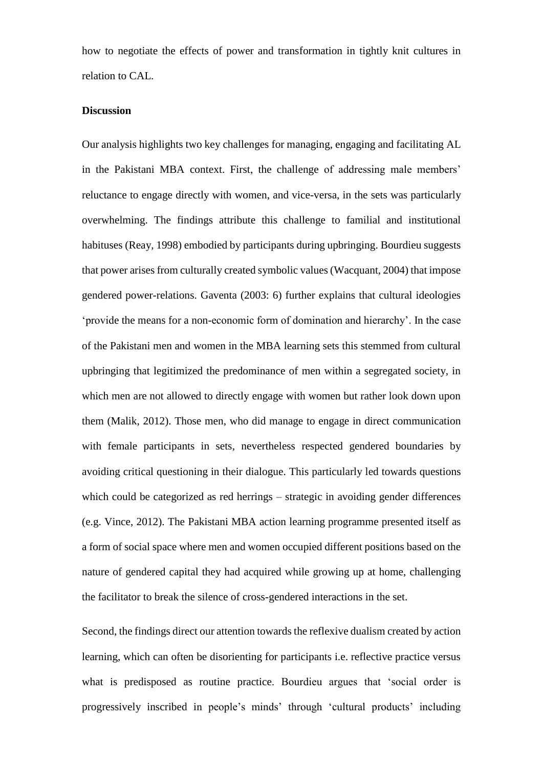how to negotiate the effects of power and transformation in tightly knit cultures in relation to CAL.

#### **Discussion**

Our analysis highlights two key challenges for managing, engaging and facilitating AL in the Pakistani MBA context. First, the challenge of addressing male members' reluctance to engage directly with women, and vice-versa, in the sets was particularly overwhelming. The findings attribute this challenge to familial and institutional habituses (Reay, 1998) embodied by participants during upbringing. Bourdieu suggests that power arises from culturally created symbolic values (Wacquant, 2004) that impose gendered power-relations. Gaventa (2003: 6) further explains that cultural ideologies 'provide the means for a non-economic form of domination and hierarchy'. In the case of the Pakistani men and women in the MBA learning sets this stemmed from cultural upbringing that legitimized the predominance of men within a segregated society, in which men are not allowed to directly engage with women but rather look down upon them (Malik, 2012). Those men, who did manage to engage in direct communication with female participants in sets, nevertheless respected gendered boundaries by avoiding critical questioning in their dialogue. This particularly led towards questions which could be categorized as red herrings – strategic in avoiding gender differences (e.g. Vince, 2012). The Pakistani MBA action learning programme presented itself as a form of social space where men and women occupied different positions based on the nature of gendered capital they had acquired while growing up at home, challenging the facilitator to break the silence of cross-gendered interactions in the set.

Second, the findings direct our attention towards the reflexive dualism created by action learning, which can often be disorienting for participants i.e. reflective practice versus what is predisposed as routine practice. Bourdieu argues that 'social order is progressively inscribed in people's minds' through 'cultural products' including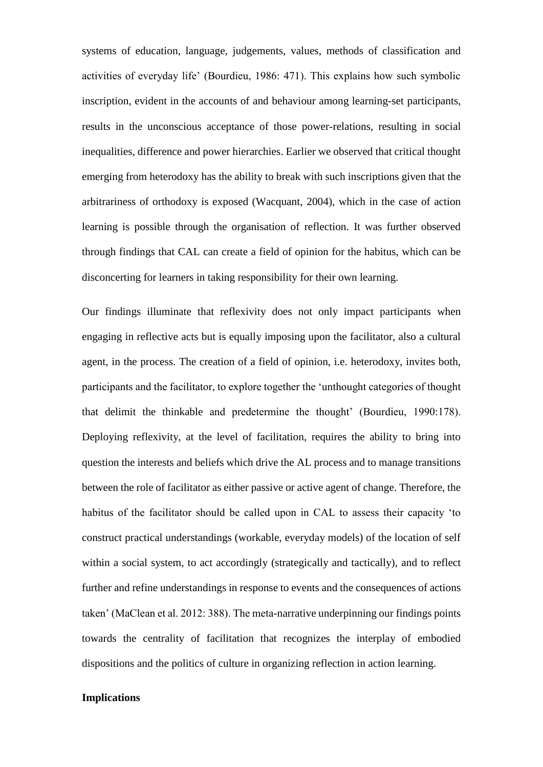systems of education, language, judgements, values, methods of classification and activities of everyday life' (Bourdieu, 1986: 471). This explains how such symbolic inscription, evident in the accounts of and behaviour among learning-set participants, results in the unconscious acceptance of those power-relations, resulting in social inequalities, difference and power hierarchies. Earlier we observed that critical thought emerging from heterodoxy has the ability to break with such inscriptions given that the arbitrariness of orthodoxy is exposed (Wacquant, 2004), which in the case of action learning is possible through the organisation of reflection. It was further observed through findings that CAL can create a field of opinion for the habitus, which can be disconcerting for learners in taking responsibility for their own learning.

Our findings illuminate that reflexivity does not only impact participants when engaging in reflective acts but is equally imposing upon the facilitator, also a cultural agent, in the process. The creation of a field of opinion, i.e. heterodoxy, invites both, participants and the facilitator, to explore together the 'unthought categories of thought that delimit the thinkable and predetermine the thought' (Bourdieu, 1990:178). Deploying reflexivity, at the level of facilitation, requires the ability to bring into question the interests and beliefs which drive the AL process and to manage transitions between the role of facilitator as either passive or active agent of change. Therefore, the habitus of the facilitator should be called upon in CAL to assess their capacity 'to construct practical understandings (workable, everyday models) of the location of self within a social system, to act accordingly (strategically and tactically), and to reflect further and refine understandings in response to events and the consequences of actions taken' (MaClean et al. 2012: 388). The meta-narrative underpinning our findings points towards the centrality of facilitation that recognizes the interplay of embodied dispositions and the politics of culture in organizing reflection in action learning.

#### **Implications**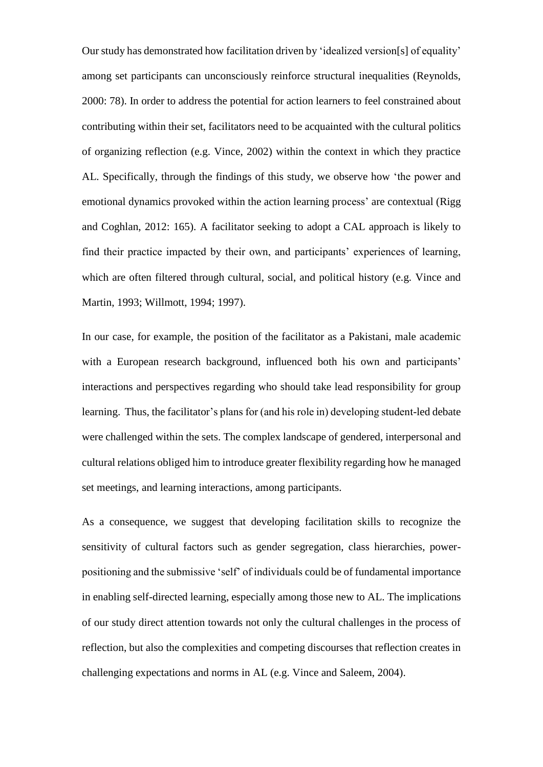Our study has demonstrated how facilitation driven by 'idealized version[s] of equality' among set participants can unconsciously reinforce structural inequalities (Reynolds, 2000: 78). In order to address the potential for action learners to feel constrained about contributing within their set, facilitators need to be acquainted with the cultural politics of organizing reflection (e.g. Vince, 2002) within the context in which they practice AL. Specifically, through the findings of this study, we observe how 'the power and emotional dynamics provoked within the action learning process' are contextual (Rigg and Coghlan, 2012: 165). A facilitator seeking to adopt a CAL approach is likely to find their practice impacted by their own, and participants' experiences of learning, which are often filtered through cultural, social, and political history (e.g. Vince and Martin, 1993; Willmott, 1994; 1997).

In our case, for example, the position of the facilitator as a Pakistani, male academic with a European research background, influenced both his own and participants' interactions and perspectives regarding who should take lead responsibility for group learning. Thus, the facilitator's plans for (and his role in) developing student-led debate were challenged within the sets. The complex landscape of gendered, interpersonal and cultural relations obliged him to introduce greater flexibility regarding how he managed set meetings, and learning interactions, among participants.

As a consequence, we suggest that developing facilitation skills to recognize the sensitivity of cultural factors such as gender segregation, class hierarchies, powerpositioning and the submissive 'self' of individuals could be of fundamental importance in enabling self-directed learning, especially among those new to AL. The implications of our study direct attention towards not only the cultural challenges in the process of reflection, but also the complexities and competing discourses that reflection creates in challenging expectations and norms in AL (e.g. Vince and Saleem, 2004).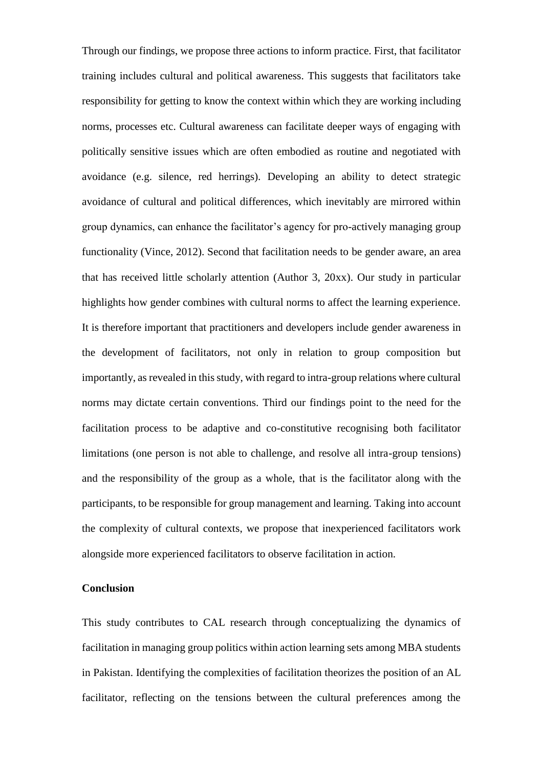Through our findings, we propose three actions to inform practice. First, that facilitator training includes cultural and political awareness. This suggests that facilitators take responsibility for getting to know the context within which they are working including norms, processes etc. Cultural awareness can facilitate deeper ways of engaging with politically sensitive issues which are often embodied as routine and negotiated with avoidance (e.g. silence, red herrings). Developing an ability to detect strategic avoidance of cultural and political differences, which inevitably are mirrored within group dynamics, can enhance the facilitator's agency for pro-actively managing group functionality (Vince, 2012). Second that facilitation needs to be gender aware, an area that has received little scholarly attention (Author 3, 20xx). Our study in particular highlights how gender combines with cultural norms to affect the learning experience. It is therefore important that practitioners and developers include gender awareness in the development of facilitators, not only in relation to group composition but importantly, as revealed in this study, with regard to intra-group relations where cultural norms may dictate certain conventions. Third our findings point to the need for the facilitation process to be adaptive and co-constitutive recognising both facilitator limitations (one person is not able to challenge, and resolve all intra-group tensions) and the responsibility of the group as a whole, that is the facilitator along with the participants, to be responsible for group management and learning. Taking into account the complexity of cultural contexts, we propose that inexperienced facilitators work alongside more experienced facilitators to observe facilitation in action.

## **Conclusion**

This study contributes to CAL research through conceptualizing the dynamics of facilitation in managing group politics within action learning sets among MBA students in Pakistan. Identifying the complexities of facilitation theorizes the position of an AL facilitator, reflecting on the tensions between the cultural preferences among the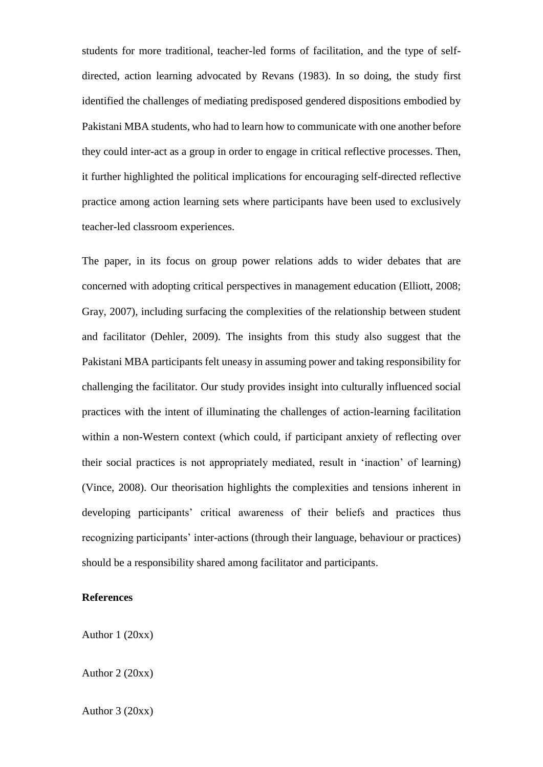students for more traditional, teacher-led forms of facilitation, and the type of selfdirected, action learning advocated by Revans (1983). In so doing, the study first identified the challenges of mediating predisposed gendered dispositions embodied by Pakistani MBA students, who had to learn how to communicate with one another before they could inter-act as a group in order to engage in critical reflective processes. Then, it further highlighted the political implications for encouraging self-directed reflective practice among action learning sets where participants have been used to exclusively teacher-led classroom experiences.

The paper, in its focus on group power relations adds to wider debates that are concerned with adopting critical perspectives in management education (Elliott, 2008; Gray, 2007), including surfacing the complexities of the relationship between student and facilitator (Dehler, 2009). The insights from this study also suggest that the Pakistani MBA participants felt uneasy in assuming power and taking responsibility for challenging the facilitator. Our study provides insight into culturally influenced social practices with the intent of illuminating the challenges of action-learning facilitation within a non-Western context (which could, if participant anxiety of reflecting over their social practices is not appropriately mediated, result in 'inaction' of learning) (Vince, 2008). Our theorisation highlights the complexities and tensions inherent in developing participants' critical awareness of their beliefs and practices thus recognizing participants' inter-actions (through their language, behaviour or practices) should be a responsibility shared among facilitator and participants.

# **References**

Author 1 (20xx)

[Author 2](http://www.research.lancs.ac.uk/portal/en/people/caroline-gatrell(b77a3bd3-6639-46b6-95d9-cf3abd751fe0).html) (20xx)

Author 3 (20xx)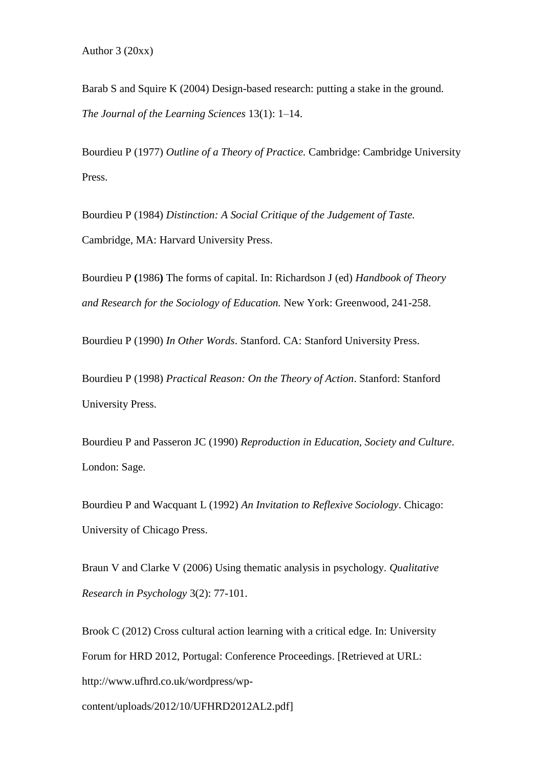Barab S and Squire K (2004) Design-based research: putting a stake in the ground. *The Journal of the Learning Sciences* 13(1): 1–14.

Bourdieu P (1977) *Outline of a Theory of Practice.* Cambridge: Cambridge University Press.

Bourdieu P (1984) *Distinction: A Social Critique of the Judgement of Taste.*  Cambridge, MA: Harvard University Press.

Bourdieu P **(**1986**)** The forms of capital. In: Richardson J (ed) *Handbook of Theory and Research for the Sociology of Education.* New York: Greenwood, 241-258.

Bourdieu P (1990) *In Other Words*. Stanford. CA: Stanford University Press.

Bourdieu P (1998) *Practical Reason: On the Theory of Action*. Stanford: Stanford University Press.

Bourdieu P and Passeron JC (1990) *Reproduction in Education, Society and Culture*. London: Sage.

Bourdieu P and Wacquant L (1992) *An Invitation to Reflexive Sociology*. Chicago: University of Chicago Press.

Braun V and Clarke V (2006) Using thematic analysis in psychology. *Qualitative Research in Psychology* 3(2): 77-101.

Brook C (2012) Cross cultural action learning with a critical edge. In: University Forum for HRD 2012, Portugal: Conference Proceedings. [Retrieved at URL: http://www.ufhrd.co.uk/wordpress/wp-

content/uploads/2012/10/UFHRD2012AL2.pdf]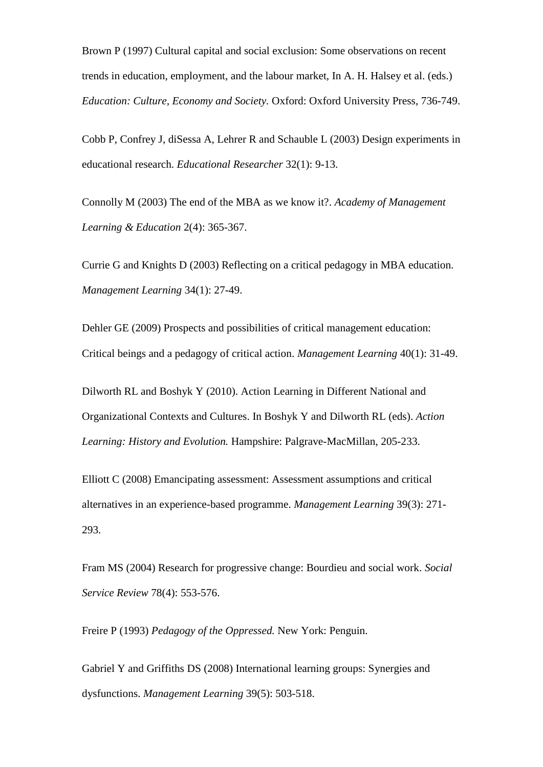Brown P (1997) Cultural capital and social exclusion: Some observations on recent trends in education, employment, and the labour market, In A. H. Halsey et al. (eds.) *Education: Culture, Economy and Society.* Oxford: Oxford University Press, 736-749.

Cobb P, Confrey J, diSessa A, Lehrer R and Schauble L (2003) Design experiments in educational research. *Educational Researcher* 32(1): 9-13.

Connolly M (2003) The end of the MBA as we know it?. *Academy of Management Learning & Education* 2(4): 365-367.

Currie G and Knights D (2003) Reflecting on a critical pedagogy in MBA education. *Management Learning* 34(1): 27-49.

Dehler GE (2009) Prospects and possibilities of critical management education: Critical beings and a pedagogy of critical action. *Management Learning* 40(1): 31-49.

Dilworth RL and Boshyk Y (2010). Action Learning in Different National and Organizational Contexts and Cultures. In Boshyk Y and Dilworth RL (eds). *Action Learning: History and Evolution.* Hampshire: Palgrave-MacMillan, 205-233.

Elliott C (2008) Emancipating assessment: Assessment assumptions and critical alternatives in an experience-based programme. *Management Learning* 39(3): 271- 293.

Fram MS (2004) Research for progressive change: Bourdieu and social work. *Social Service Review* 78(4): 553-576.

Freire P (1993) *Pedagogy of the Oppressed.* New York: Penguin.

Gabriel Y and Griffiths DS (2008) International learning groups: Synergies and dysfunctions. *Management Learning* 39(5): 503-518.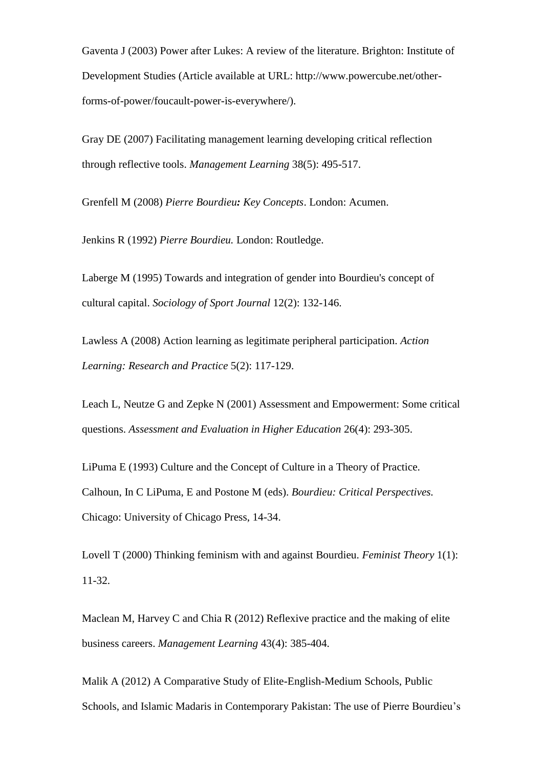Gaventa J (2003) Power after Lukes: A review of the literature. Brighton: Institute of Development Studies (Article available at URL: http://www.powercube.net/otherforms-of-power/foucault-power-is-everywhere/).

Gray DE (2007) Facilitating management learning developing critical reflection through reflective tools. *Management Learning* 38(5): 495-517.

Grenfell M (2008) *Pierre Bourdieu: Key Concepts*. London: Acumen.

Jenkins R (1992) *Pierre Bourdieu.* London: Routledge.

Laberge M (1995) Towards and integration of gender into Bourdieu's concept of cultural capital. *Sociology of Sport Journal* 12(2): 132-146.

Lawless A (2008) Action learning as legitimate peripheral participation. *Action Learning: Research and Practice* 5(2): 117-129.

Leach L, Neutze G and Zepke N (2001) Assessment and Empowerment: Some critical questions. *Assessment and Evaluation in Higher Education* 26(4): 293-305.

LiPuma E (1993) Culture and the Concept of Culture in a Theory of Practice. Calhoun, In C LiPuma, E and Postone M (eds). *Bourdieu: Critical Perspectives.* Chicago: University of Chicago Press, 14-34.

Lovell T (2000) Thinking feminism with and against Bourdieu. *Feminist Theory* 1(1): 11-32.

Maclean M, Harvey C and Chia R (2012) Reflexive practice and the making of elite business careers. *Management Learning* 43(4): 385-404.

Malik A (2012) A Comparative Study of Elite-English-Medium Schools, Public Schools, and Islamic Madaris in Contemporary Pakistan: The use of Pierre Bourdieu's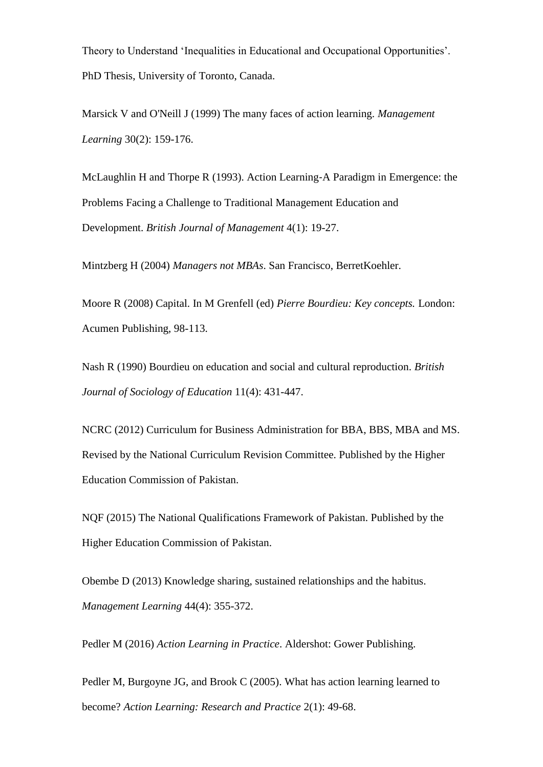Theory to Understand 'Inequalities in Educational and Occupational Opportunities'. PhD Thesis, University of Toronto, Canada.

Marsick V and O'Neill J (1999) The many faces of action learning. *Management Learning* 30(2): 159-176.

McLaughlin H and Thorpe R (1993). Action Learning‐A Paradigm in Emergence: the Problems Facing a Challenge to Traditional Management Education and Development. *British Journal of Management* 4(1): 19-27.

Mintzberg H (2004) *Managers not MBAs*. San Francisco, BerretKoehler.

Moore R (2008) Capital. In M Grenfell (ed) *Pierre Bourdieu: Key concepts.* London: Acumen Publishing, 98-113.

Nash R (1990) Bourdieu on education and social and cultural reproduction. *British Journal of Sociology of Education* 11(4): 431-447.

NCRC (2012) Curriculum for Business Administration for BBA, BBS, MBA and MS. Revised by the National Curriculum Revision Committee. Published by the Higher Education Commission of Pakistan.

NQF (2015) The National Qualifications Framework of Pakistan. Published by the Higher Education Commission of Pakistan.

Obembe D (2013) Knowledge sharing, sustained relationships and the habitus. *Management Learning* 44(4): 355-372.

Pedler M (2016) *Action Learning in Practice*. Aldershot: Gower Publishing.

Pedler M, Burgoyne JG, and Brook C (2005). What has action learning learned to become? *Action Learning: Research and Practice* 2(1): 49-68.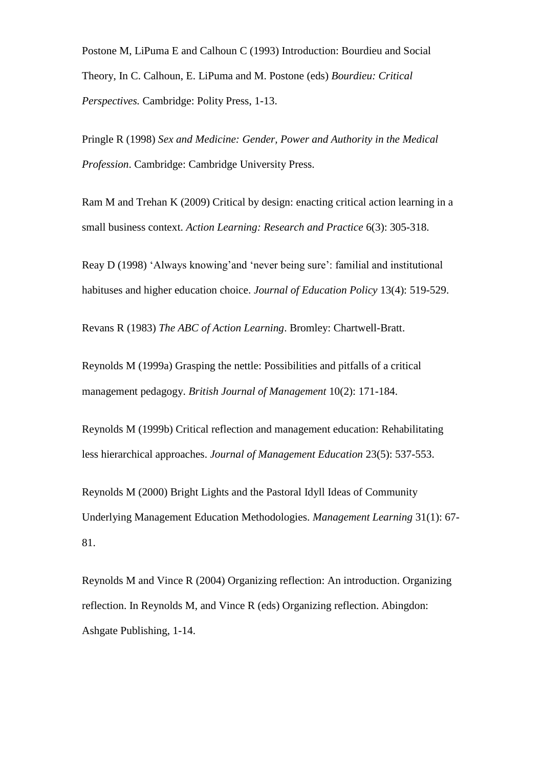Postone M, LiPuma E and Calhoun C (1993) Introduction: Bourdieu and Social Theory, In C. Calhoun, E. LiPuma and M. Postone (eds) *Bourdieu: Critical Perspectives.* Cambridge: Polity Press, 1-13.

Pringle R (1998) *Sex and Medicine: Gender, Power and Authority in the Medical Profession*. Cambridge: Cambridge University Press.

Ram M and Trehan K (2009) Critical by design: enacting critical action learning in a small business context. *Action Learning: Research and Practice* 6(3): 305-318.

Reay D (1998) 'Always knowing'and 'never being sure': familial and institutional habituses and higher education choice. *Journal of Education Policy* 13(4): 519-529.

Revans R (1983) *The ABC of Action Learning*. Bromley: Chartwell-Bratt.

Reynolds M (1999a) Grasping the nettle: Possibilities and pitfalls of a critical management pedagogy. *British Journal of Management* 10(2): 171-184.

Reynolds M (1999b) Critical reflection and management education: Rehabilitating less hierarchical approaches. *Journal of Management Education* 23(5): 537-553.

Reynolds M (2000) Bright Lights and the Pastoral Idyll Ideas of Community Underlying Management Education Methodologies. *Management Learning* 31(1): 67- 81.

Reynolds M and Vince R (2004) Organizing reflection: An introduction. Organizing reflection. In Reynolds M, and Vince R (eds) Organizing reflection. Abingdon: Ashgate Publishing, 1-14.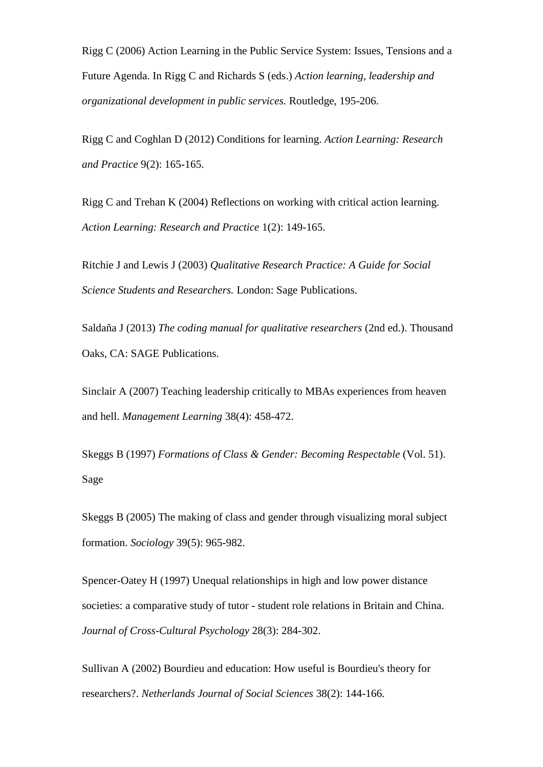Rigg C (2006) Action Learning in the Public Service System: Issues, Tensions and a Future Agenda. In Rigg C and Richards S (eds.) *Action learning, leadership and organizational development in public services.* Routledge, 195-206.

Rigg C and Coghlan D (2012) Conditions for learning. *Action Learning: Research and Practice* 9(2): 165-165.

Rigg C and Trehan K (2004) Reflections on working with critical action learning. *Action Learning: Research and Practice* 1(2): 149-165.

Ritchie J and Lewis J (2003) *Qualitative Research Practice: A Guide for Social Science Students and Researchers.* London: Sage Publications.

Saldaña J (2013) *The coding manual for qualitative researchers* (2nd ed.). Thousand Oaks, CA: SAGE Publications.

Sinclair A (2007) Teaching leadership critically to MBAs experiences from heaven and hell. *Management Learning* 38(4): 458-472.

Skeggs B (1997) *Formations of Class & Gender: Becoming Respectable* (Vol. 51). Sage

Skeggs B (2005) The making of class and gender through visualizing moral subject formation. *Sociology* 39(5): 965-982.

Spencer-Oatey H (1997) Unequal relationships in high and low power distance societies: a comparative study of tutor - student role relations in Britain and China. *Journal of Cross-Cultural Psychology* 28(3): 284-302.

Sullivan A (2002) Bourdieu and education: How useful is Bourdieu's theory for researchers?. *Netherlands Journal of Social Sciences* 38(2): 144-166.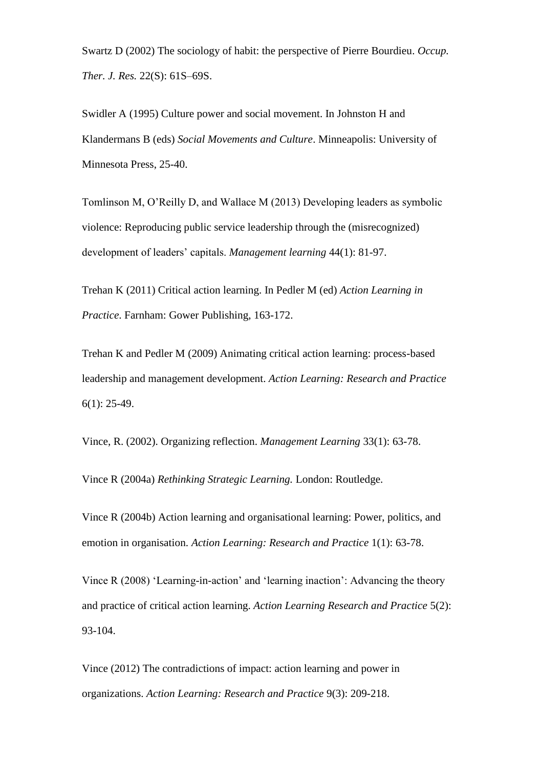Swartz D (2002) The sociology of habit: the perspective of Pierre Bourdieu. *Occup. Ther. J. Res.* 22(S): 61S–69S.

Swidler A (1995) Culture power and social movement. In Johnston H and Klandermans B (eds) *Social Movements and Culture*. Minneapolis: University of Minnesota Press, 25-40.

Tomlinson M, O'Reilly D, and Wallace M (2013) Developing leaders as symbolic violence: Reproducing public service leadership through the (misrecognized) development of leaders' capitals. *Management learning* 44(1): 81-97.

Trehan K (2011) Critical action learning. In Pedler M (ed) *Action Learning in Practice*. Farnham: Gower Publishing, 163-172.

Trehan K and Pedler M (2009) Animating critical action learning: process-based leadership and management development. *Action Learning: Research and Practice* 6(1): 25-49.

Vince, R. (2002). Organizing reflection. *Management Learning* 33(1): 63-78.

Vince R (2004a) *Rethinking Strategic Learning.* London: Routledge.

Vince R (2004b) Action learning and organisational learning: Power, politics, and emotion in organisation. *Action Learning: Research and Practice* 1(1): 63-78.

Vince R (2008) 'Learning-in-action' and 'learning inaction': Advancing the theory and practice of critical action learning. *Action Learning Research and Practice* 5(2): 93-104.

Vince (2012) The contradictions of impact: action learning and power in organizations. *Action Learning: Research and Practice* 9(3): 209-218.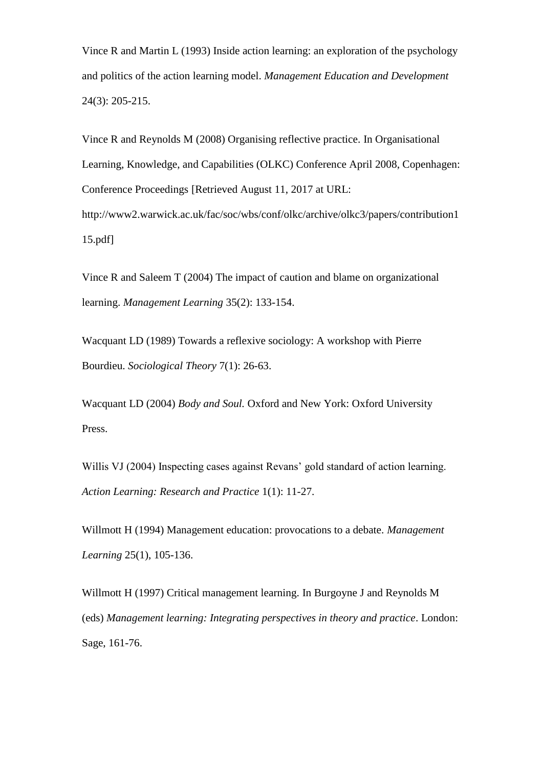Vince R and Martin L (1993) Inside action learning: an exploration of the psychology and politics of the action learning model. *Management Education and Development* 24(3): 205-215.

Vince R and Reynolds M (2008) Organising reflective practice. In Organisational Learning, Knowledge, and Capabilities (OLKC) Conference April 2008, Copenhagen: Conference Proceedings [Retrieved August 11, 2017 at URL: http://www2.warwick.ac.uk/fac/soc/wbs/conf/olkc/archive/olkc3/papers/contribution1 15.pdf]

Vince R and Saleem T (2004) The impact of caution and blame on organizational learning. *Management Learning* 35(2): 133-154.

Wacquant LD (1989) Towards a reflexive sociology: A workshop with Pierre Bourdieu. *Sociological Theory* 7(1): 26-63.

Wacquant LD (2004) *Body and Soul.* Oxford and New York: Oxford University Press.

Willis VJ (2004) Inspecting cases against Revans' gold standard of action learning. *Action Learning: Research and Practice* 1(1): 11-27.

Willmott H (1994) Management education: provocations to a debate. *Management Learning* 25(1), 105-136.

Willmott H (1997) Critical management learning. In Burgoyne J and Reynolds M (eds) *Management learning: Integrating perspectives in theory and practice*. London: Sage, 161-76.